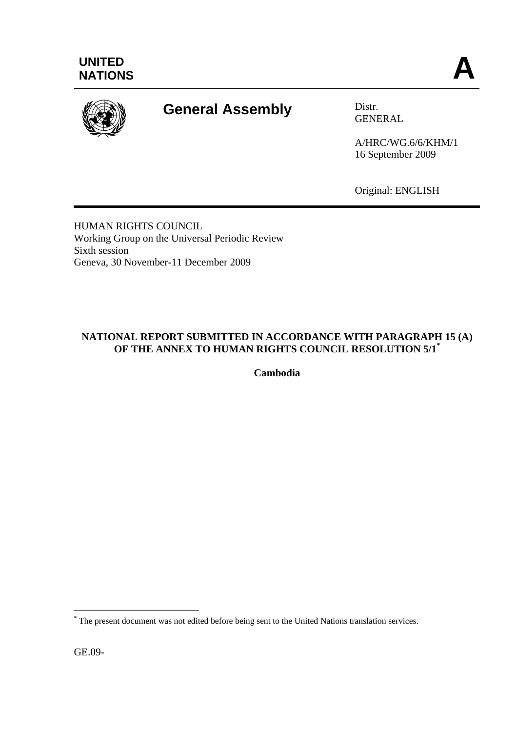

# **General Assembly** Distr.

GENERAL

A/HRC/WG.6/6/KHM/1 16 September 2009

Original: ENGLISH

HUMAN RIGHTS COUNCIL Working Group on the Universal Periodic Review Sixth session Geneva, 30 November-11 December 2009

# **NATIONAL REPORT SUBMITTED IN ACCORDANCE WITH PARAGRAPH 15 (A) OF THE ANNEX TO HUMAN RIGHTS COUNCIL RESOLUTION 5/1\***

**Cambodia** 

GE.09-

 $\overline{a}$ 

<sup>\*</sup> The present document was not edited before being sent to the United Nations translation services.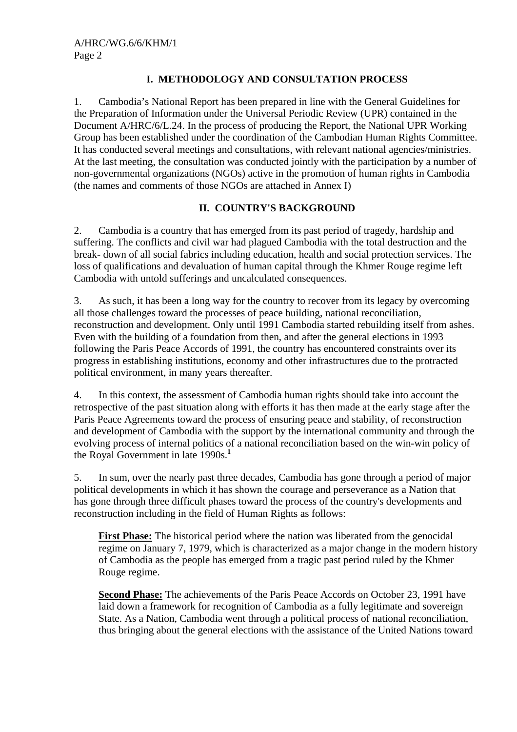# **I. METHODOLOGY AND CONSULTATION PROCESS**

1. Cambodia's National Report has been prepared in line with the General Guidelines for the Preparation of Information under the Universal Periodic Review (UPR) contained in the Document A/HRC/6/L.24. In the process of producing the Report, the National UPR Working Group has been established under the coordination of the Cambodian Human Rights Committee. It has conducted several meetings and consultations, with relevant national agencies/ministries. At the last meeting, the consultation was conducted jointly with the participation by a number of non-governmental organizations (NGOs) active in the promotion of human rights in Cambodia (the names and comments of those NGOs are attached in Annex I)

# **II. COUNTRY'S BACKGROUND**

2. Cambodia is a country that has emerged from its past period of tragedy, hardship and suffering. The conflicts and civil war had plagued Cambodia with the total destruction and the break- down of all social fabrics including education, health and social protection services. The loss of qualifications and devaluation of human capital through the Khmer Rouge regime left Cambodia with untold sufferings and uncalculated consequences.

3. As such, it has been a long way for the country to recover from its legacy by overcoming all those challenges toward the processes of peace building, national reconciliation, reconstruction and development. Only until 1991 Cambodia started rebuilding itself from ashes. Even with the building of a foundation from then, and after the general elections in 1993 following the Paris Peace Accords of 1991, the country has encountered constraints over its progress in establishing institutions, economy and other infrastructures due to the protracted political environment, in many years thereafter.

4. In this context, the assessment of Cambodia human rights should take into account the retrospective of the past situation along with efforts it has then made at the early stage after the Paris Peace Agreements toward the process of ensuring peace and stability, of reconstruction and development of Cambodia with the support by the international community and through the evolving process of internal politics of a national reconciliation based on the win-win policy of the Royal Government in late 1990s.**<sup>1</sup>**

5. In sum, over the nearly past three decades, Cambodia has gone through a period of major political developments in which it has shown the courage and perseverance as a Nation that has gone through three difficult phases toward the process of the country's developments and reconstruction including in the field of Human Rights as follows:

**First Phase:** The historical period where the nation was liberated from the genocidal regime on January 7, 1979, which is characterized as a major change in the modern history of Cambodia as the people has emerged from a tragic past period ruled by the Khmer Rouge regime.

**Second Phase:** The achievements of the Paris Peace Accords on October 23, 1991 have laid down a framework for recognition of Cambodia as a fully legitimate and sovereign State. As a Nation, Cambodia went through a political process of national reconciliation, thus bringing about the general elections with the assistance of the United Nations toward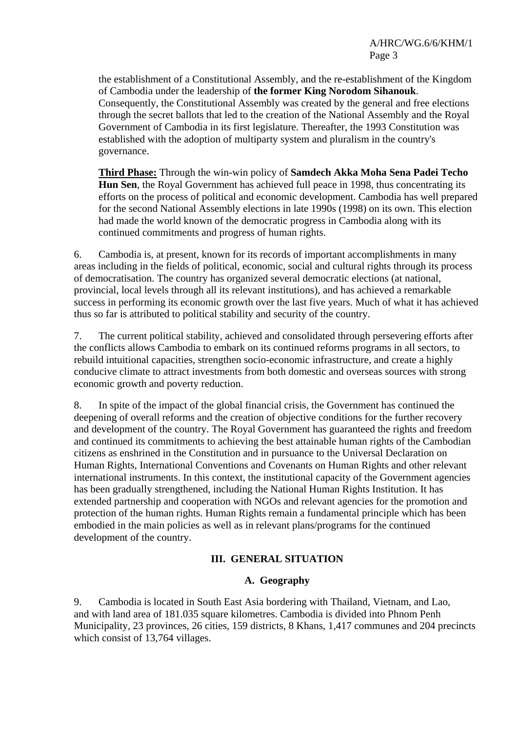the establishment of a Constitutional Assembly, and the re-establishment of the Kingdom of Cambodia under the leadership of **the former King Norodom Sihanouk**. Consequently, the Constitutional Assembly was created by the general and free elections through the secret ballots that led to the creation of the National Assembly and the Royal Government of Cambodia in its first legislature. Thereafter, the 1993 Constitution was established with the adoption of multiparty system and pluralism in the country's governance.

**Third Phase:** Through the win-win policy of **Samdech Akka Moha Sena Padei Techo Hun Sen**, the Royal Government has achieved full peace in 1998, thus concentrating its efforts on the process of political and economic development. Cambodia has well prepared for the second National Assembly elections in late 1990s (1998) on its own. This election had made the world known of the democratic progress in Cambodia along with its continued commitments and progress of human rights.

6. Cambodia is, at present, known for its records of important accomplishments in many areas including in the fields of political, economic, social and cultural rights through its process of democratisation. The country has organized several democratic elections (at national, provincial, local levels through all its relevant institutions), and has achieved a remarkable success in performing its economic growth over the last five years. Much of what it has achieved thus so far is attributed to political stability and security of the country.

7. The current political stability, achieved and consolidated through persevering efforts after the conflicts allows Cambodia to embark on its continued reforms programs in all sectors, to rebuild intuitional capacities, strengthen socio-economic infrastructure, and create a highly conducive climate to attract investments from both domestic and overseas sources with strong economic growth and poverty reduction.

8. In spite of the impact of the global financial crisis, the Government has continued the deepening of overall reforms and the creation of objective conditions for the further recovery and development of the country. The Royal Government has guaranteed the rights and freedom and continued its commitments to achieving the best attainable human rights of the Cambodian citizens as enshrined in the Constitution and in pursuance to the Universal Declaration on Human Rights, International Conventions and Covenants on Human Rights and other relevant international instruments. In this context, the institutional capacity of the Government agencies has been gradually strengthened, including the National Human Rights Institution. It has extended partnership and cooperation with NGOs and relevant agencies for the promotion and protection of the human rights. Human Rights remain a fundamental principle which has been embodied in the main policies as well as in relevant plans/programs for the continued development of the country.

## **III. GENERAL SITUATION**

#### **A. Geography**

9. Cambodia is located in South East Asia bordering with Thailand, Vietnam, and Lao, and with land area of 181.035 square kilometres. Cambodia is divided into Phnom Penh Municipality, 23 provinces, 26 cities, 159 districts, 8 Khans, 1,417 communes and 204 precincts which consist of 13,764 villages.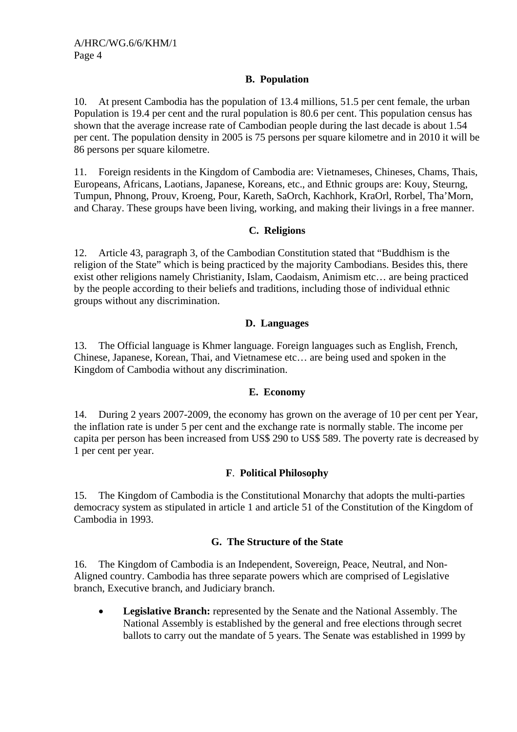# **B. Population**

10. At present Cambodia has the population of 13.4 millions, 51.5 per cent female, the urban Population is 19.4 per cent and the rural population is 80.6 per cent. This population census has shown that the average increase rate of Cambodian people during the last decade is about 1.54 per cent. The population density in 2005 is 75 persons per square kilometre and in 2010 it will be 86 persons per square kilometre.

11. Foreign residents in the Kingdom of Cambodia are: Vietnameses, Chineses, Chams, Thais, Europeans, Africans, Laotians, Japanese, Koreans, etc., and Ethnic groups are: Kouy, Steurng, Tumpun, Phnong, Prouv, Kroeng, Pour, Kareth, SaOrch, Kachhork, KraOrl, Rorbel, Tha'Morn, and Charay. These groups have been living, working, and making their livings in a free manner.

### **C. Religions**

12. Article 43, paragraph 3, of the Cambodian Constitution stated that "Buddhism is the religion of the State" which is being practiced by the majority Cambodians. Besides this, there exist other religions namely Christianity, Islam, Caodaism, Animism etc… are being practiced by the people according to their beliefs and traditions, including those of individual ethnic groups without any discrimination.

## **D. Languages**

13. The Official language is Khmer language. Foreign languages such as English, French, Chinese, Japanese, Korean, Thai, and Vietnamese etc… are being used and spoken in the Kingdom of Cambodia without any discrimination.

## **E. Economy**

14. During 2 years 2007-2009, the economy has grown on the average of 10 per cent per Year, the inflation rate is under 5 per cent and the exchange rate is normally stable. The income per capita per person has been increased from US\$ 290 to US\$ 589. The poverty rate is decreased by 1 per cent per year.

## **F**. **Political Philosophy**

15. The Kingdom of Cambodia is the Constitutional Monarchy that adopts the multi-parties democracy system as stipulated in article 1 and article 51 of the Constitution of the Kingdom of Cambodia in 1993.

## **G. The Structure of the State**

16. The Kingdom of Cambodia is an Independent, Sovereign, Peace, Neutral, and Non-Aligned country. Cambodia has three separate powers which are comprised of Legislative branch, Executive branch, and Judiciary branch.

• **Legislative Branch:** represented by the Senate and the National Assembly. The National Assembly is established by the general and free elections through secret ballots to carry out the mandate of 5 years. The Senate was established in 1999 by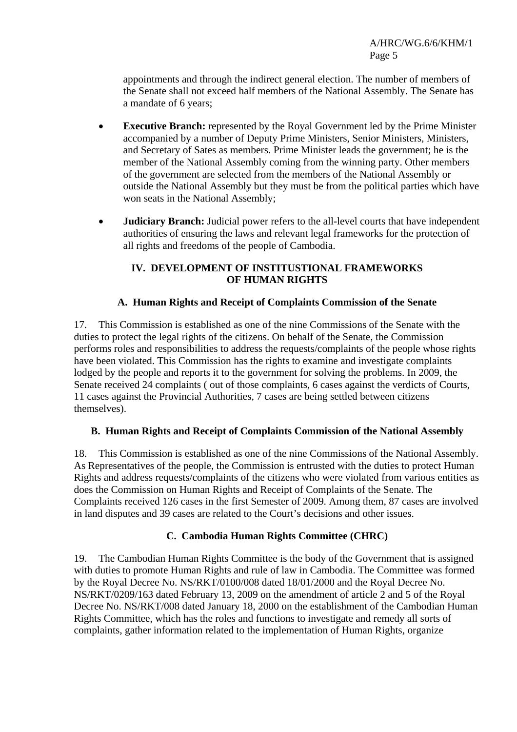appointments and through the indirect general election. The number of members of the Senate shall not exceed half members of the National Assembly. The Senate has a mandate of 6 years;

- **Executive Branch:** represented by the Royal Government led by the Prime Minister accompanied by a number of Deputy Prime Ministers, Senior Ministers, Ministers, and Secretary of Sates as members. Prime Minister leads the government; he is the member of the National Assembly coming from the winning party. Other members of the government are selected from the members of the National Assembly or outside the National Assembly but they must be from the political parties which have won seats in the National Assembly;
- **Judiciary Branch:** Judicial power refers to the all-level courts that have independent authorities of ensuring the laws and relevant legal frameworks for the protection of all rights and freedoms of the people of Cambodia.

# **IV. DEVELOPMENT OF INSTITUSTIONAL FRAMEWORKS OF HUMAN RIGHTS**

# **A. Human Rights and Receipt of Complaints Commission of the Senate**

17. This Commission is established as one of the nine Commissions of the Senate with the duties to protect the legal rights of the citizens. On behalf of the Senate, the Commission performs roles and responsibilities to address the requests/complaints of the people whose rights have been violated. This Commission has the rights to examine and investigate complaints lodged by the people and reports it to the government for solving the problems. In 2009, the Senate received 24 complaints ( out of those complaints, 6 cases against the verdicts of Courts, 11 cases against the Provincial Authorities, 7 cases are being settled between citizens themselves).

## **B. Human Rights and Receipt of Complaints Commission of the National Assembly**

18. This Commission is established as one of the nine Commissions of the National Assembly. As Representatives of the people, the Commission is entrusted with the duties to protect Human Rights and address requests/complaints of the citizens who were violated from various entities as does the Commission on Human Rights and Receipt of Complaints of the Senate. The Complaints received 126 cases in the first Semester of 2009. Among them, 87 cases are involved in land disputes and 39 cases are related to the Court's decisions and other issues.

## **C. Cambodia Human Rights Committee (CHRC)**

19. The Cambodian Human Rights Committee is the body of the Government that is assigned with duties to promote Human Rights and rule of law in Cambodia. The Committee was formed by the Royal Decree No. NS/RKT/0100/008 dated 18/01/2000 and the Royal Decree No. NS/RKT/0209/163 dated February 13, 2009 on the amendment of article 2 and 5 of the Royal Decree No. NS/RKT/008 dated January 18, 2000 on the establishment of the Cambodian Human Rights Committee, which has the roles and functions to investigate and remedy all sorts of complaints, gather information related to the implementation of Human Rights, organize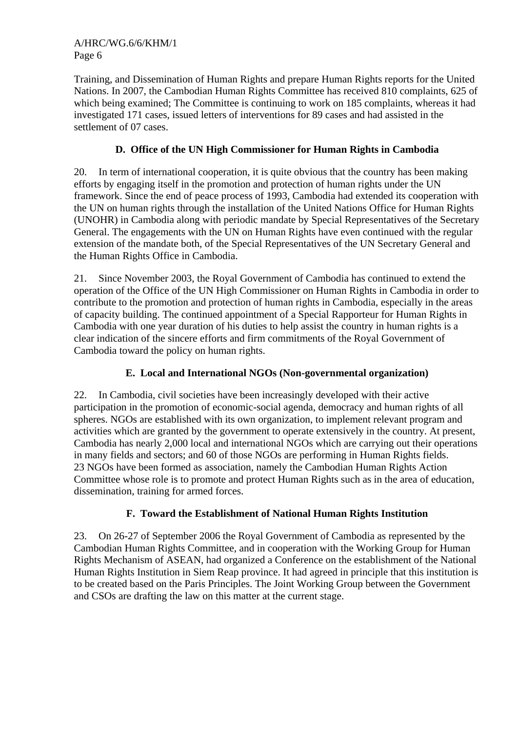Training, and Dissemination of Human Rights and prepare Human Rights reports for the United Nations. In 2007, the Cambodian Human Rights Committee has received 810 complaints, 625 of which being examined; The Committee is continuing to work on 185 complaints, whereas it had investigated 171 cases, issued letters of interventions for 89 cases and had assisted in the settlement of 07 cases.

# **D. Office of the UN High Commissioner for Human Rights in Cambodia**

20. In term of international cooperation, it is quite obvious that the country has been making efforts by engaging itself in the promotion and protection of human rights under the UN framework. Since the end of peace process of 1993, Cambodia had extended its cooperation with the UN on human rights through the installation of the United Nations Office for Human Rights (UNOHR) in Cambodia along with periodic mandate by Special Representatives of the Secretary General. The engagements with the UN on Human Rights have even continued with the regular extension of the mandate both, of the Special Representatives of the UN Secretary General and the Human Rights Office in Cambodia.

21. Since November 2003, the Royal Government of Cambodia has continued to extend the operation of the Office of the UN High Commissioner on Human Rights in Cambodia in order to contribute to the promotion and protection of human rights in Cambodia, especially in the areas of capacity building. The continued appointment of a Special Rapporteur for Human Rights in Cambodia with one year duration of his duties to help assist the country in human rights is a clear indication of the sincere efforts and firm commitments of the Royal Government of Cambodia toward the policy on human rights.

# **E. Local and International NGOs (Non-governmental organization)**

22. In Cambodia, civil societies have been increasingly developed with their active participation in the promotion of economic-social agenda, democracy and human rights of all spheres. NGOs are established with its own organization, to implement relevant program and activities which are granted by the government to operate extensively in the country. At present, Cambodia has nearly 2,000 local and international NGOs which are carrying out their operations in many fields and sectors; and 60 of those NGOs are performing in Human Rights fields. 23 NGOs have been formed as association, namely the Cambodian Human Rights Action Committee whose role is to promote and protect Human Rights such as in the area of education, dissemination, training for armed forces.

# **F. Toward the Establishment of National Human Rights Institution**

23. On 26-27 of September 2006 the Royal Government of Cambodia as represented by the Cambodian Human Rights Committee, and in cooperation with the Working Group for Human Rights Mechanism of ASEAN, had organized a Conference on the establishment of the National Human Rights Institution in Siem Reap province. It had agreed in principle that this institution is to be created based on the Paris Principles. The Joint Working Group between the Government and CSOs are drafting the law on this matter at the current stage.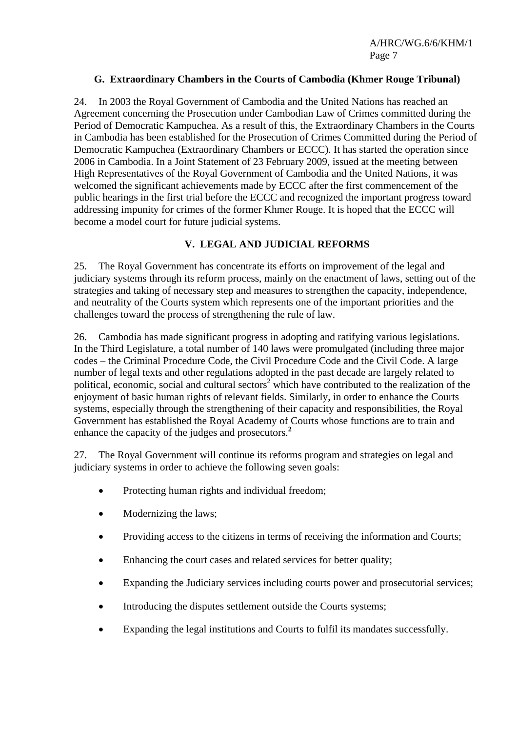## **G. Extraordinary Chambers in the Courts of Cambodia (Khmer Rouge Tribunal)**

24. In 2003 the Royal Government of Cambodia and the United Nations has reached an Agreement concerning the Prosecution under Cambodian Law of Crimes committed during the Period of Democratic Kampuchea. As a result of this, the Extraordinary Chambers in the Courts in Cambodia has been established for the Prosecution of Crimes Committed during the Period of Democratic Kampuchea (Extraordinary Chambers or ECCC). It has started the operation since 2006 in Cambodia. In a Joint Statement of 23 February 2009, issued at the meeting between High Representatives of the Royal Government of Cambodia and the United Nations, it was welcomed the significant achievements made by ECCC after the first commencement of the public hearings in the first trial before the ECCC and recognized the important progress toward addressing impunity for crimes of the former Khmer Rouge. It is hoped that the ECCC will become a model court for future judicial systems.

### **V. LEGAL AND JUDICIAL REFORMS**

25. The Royal Government has concentrate its efforts on improvement of the legal and judiciary systems through its reform process, mainly on the enactment of laws, setting out of the strategies and taking of necessary step and measures to strengthen the capacity, independence, and neutrality of the Courts system which represents one of the important priorities and the challenges toward the process of strengthening the rule of law.

26. Cambodia has made significant progress in adopting and ratifying various legislations. In the Third Legislature, a total number of 140 laws were promulgated (including three major codes – the Criminal Procedure Code, the Civil Procedure Code and the Civil Code. A large number of legal texts and other regulations adopted in the past decade are largely related to political, economic, social and cultural sectors<sup>2</sup> which have contributed to the realization of the enjoyment of basic human rights of relevant fields. Similarly, in order to enhance the Courts systems, especially through the strengthening of their capacity and responsibilities, the Royal Government has established the Royal Academy of Courts whose functions are to train and enhance the capacity of the judges and prosecutors.**<sup>2</sup>**

27. The Royal Government will continue its reforms program and strategies on legal and judiciary systems in order to achieve the following seven goals:

- Protecting human rights and individual freedom;
- Modernizing the laws;
- Providing access to the citizens in terms of receiving the information and Courts;
- Enhancing the court cases and related services for better quality;
- Expanding the Judiciary services including courts power and prosecutorial services;
- Introducing the disputes settlement outside the Courts systems;
- Expanding the legal institutions and Courts to fulfil its mandates successfully.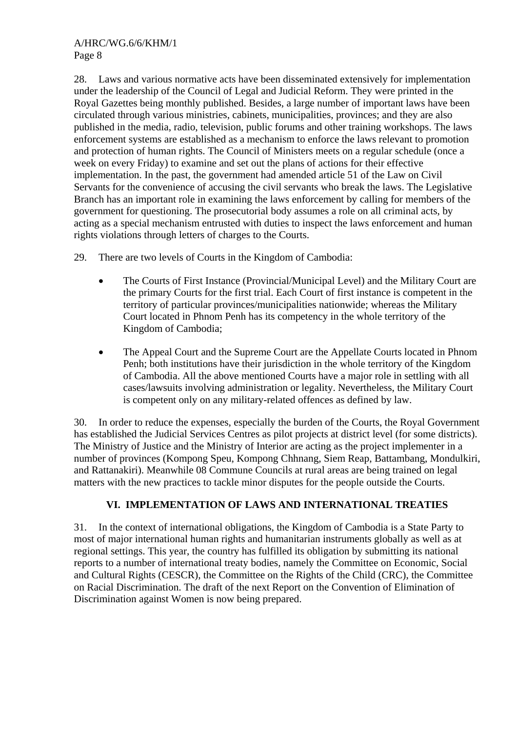28. Laws and various normative acts have been disseminated extensively for implementation under the leadership of the Council of Legal and Judicial Reform. They were printed in the Royal Gazettes being monthly published. Besides, a large number of important laws have been circulated through various ministries, cabinets, municipalities, provinces; and they are also published in the media, radio, television, public forums and other training workshops. The laws enforcement systems are established as a mechanism to enforce the laws relevant to promotion and protection of human rights. The Council of Ministers meets on a regular schedule (once a week on every Friday) to examine and set out the plans of actions for their effective implementation. In the past, the government had amended article 51 of the Law on Civil Servants for the convenience of accusing the civil servants who break the laws. The Legislative Branch has an important role in examining the laws enforcement by calling for members of the government for questioning. The prosecutorial body assumes a role on all criminal acts, by acting as a special mechanism entrusted with duties to inspect the laws enforcement and human rights violations through letters of charges to the Courts.

- 29. There are two levels of Courts in the Kingdom of Cambodia:
	- The Courts of First Instance (Provincial/Municipal Level) and the Military Court are the primary Courts for the first trial. Each Court of first instance is competent in the territory of particular provinces/municipalities nationwide; whereas the Military Court located in Phnom Penh has its competency in the whole territory of the Kingdom of Cambodia;
	- The Appeal Court and the Supreme Court are the Appellate Courts located in Phnom Penh; both institutions have their jurisdiction in the whole territory of the Kingdom of Cambodia. All the above mentioned Courts have a major role in settling with all cases/lawsuits involving administration or legality. Nevertheless, the Military Court is competent only on any military-related offences as defined by law.

30. In order to reduce the expenses, especially the burden of the Courts, the Royal Government has established the Judicial Services Centres as pilot projects at district level (for some districts). The Ministry of Justice and the Ministry of Interior are acting as the project implementer in a number of provinces (Kompong Speu, Kompong Chhnang, Siem Reap, Battambang, Mondulkiri, and Rattanakiri). Meanwhile 08 Commune Councils at rural areas are being trained on legal matters with the new practices to tackle minor disputes for the people outside the Courts.

# **VI. IMPLEMENTATION OF LAWS AND INTERNATIONAL TREATIES**

31. In the context of international obligations, the Kingdom of Cambodia is a State Party to most of major international human rights and humanitarian instruments globally as well as at regional settings. This year, the country has fulfilled its obligation by submitting its national reports to a number of international treaty bodies, namely the Committee on Economic, Social and Cultural Rights (CESCR), the Committee on the Rights of the Child (CRC), the Committee on Racial Discrimination. The draft of the next Report on the Convention of Elimination of Discrimination against Women is now being prepared.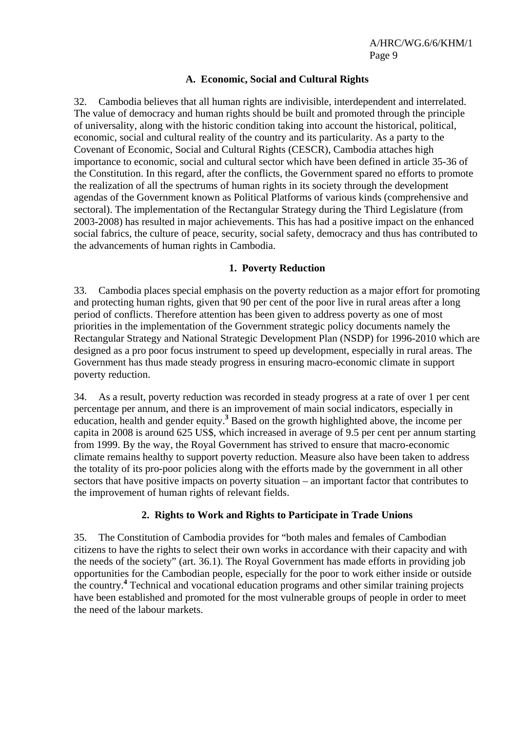#### **A. Economic, Social and Cultural Rights**

32. Cambodia believes that all human rights are indivisible, interdependent and interrelated. The value of democracy and human rights should be built and promoted through the principle of universality, along with the historic condition taking into account the historical, political, economic, social and cultural reality of the country and its particularity. As a party to the Covenant of Economic, Social and Cultural Rights (CESCR), Cambodia attaches high importance to economic, social and cultural sector which have been defined in article 35-36 of the Constitution. In this regard, after the conflicts, the Government spared no efforts to promote the realization of all the spectrums of human rights in its society through the development agendas of the Government known as Political Platforms of various kinds (comprehensive and sectoral). The implementation of the Rectangular Strategy during the Third Legislature (from 2003-2008) has resulted in major achievements. This has had a positive impact on the enhanced social fabrics, the culture of peace, security, social safety, democracy and thus has contributed to the advancements of human rights in Cambodia.

#### **1. Poverty Reduction**

33. Cambodia places special emphasis on the poverty reduction as a major effort for promoting and protecting human rights, given that 90 per cent of the poor live in rural areas after a long period of conflicts. Therefore attention has been given to address poverty as one of most priorities in the implementation of the Government strategic policy documents namely the Rectangular Strategy and National Strategic Development Plan (NSDP) for 1996-2010 which are designed as a pro poor focus instrument to speed up development, especially in rural areas. The Government has thus made steady progress in ensuring macro-economic climate in support poverty reduction.

34. As a result, poverty reduction was recorded in steady progress at a rate of over 1 per cent percentage per annum, and there is an improvement of main social indicators, especially in education, health and gender equity.<sup>3</sup> Based on the growth highlighted above, the income per capita in 2008 is around 625 US\$, which increased in average of 9.5 per cent per annum starting from 1999. By the way, the Royal Government has strived to ensure that macro-economic climate remains healthy to support poverty reduction. Measure also have been taken to address the totality of its pro-poor policies along with the efforts made by the government in all other sectors that have positive impacts on poverty situation – an important factor that contributes to the improvement of human rights of relevant fields.

#### **2. Rights to Work and Rights to Participate in Trade Unions**

35. The Constitution of Cambodia provides for "both males and females of Cambodian citizens to have the rights to select their own works in accordance with their capacity and with the needs of the society" (art. 36.1). The Royal Government has made efforts in providing job opportunities for the Cambodian people, especially for the poor to work either inside or outside the country.**<sup>4</sup>** Technical and vocational education programs and other similar training projects have been established and promoted for the most vulnerable groups of people in order to meet the need of the labour markets.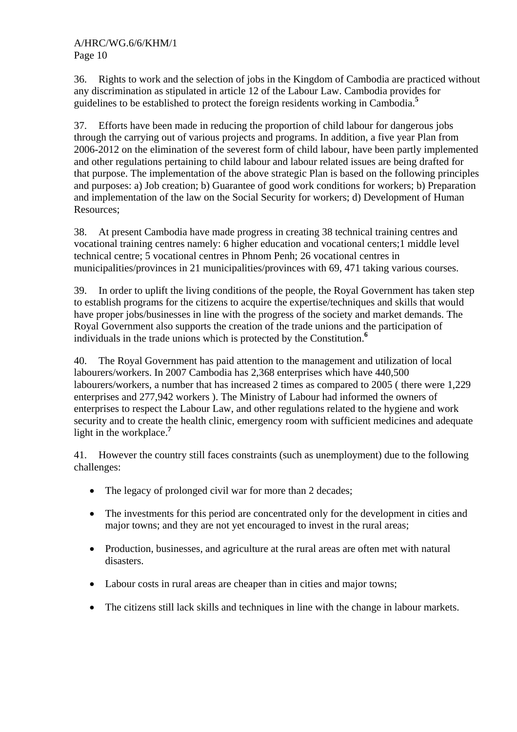36. Rights to work and the selection of jobs in the Kingdom of Cambodia are practiced without any discrimination as stipulated in article 12 of the Labour Law. Cambodia provides for guidelines to be established to protect the foreign residents working in Cambodia.**<sup>5</sup>**

37. Efforts have been made in reducing the proportion of child labour for dangerous jobs through the carrying out of various projects and programs. In addition, a five year Plan from 2006-2012 on the elimination of the severest form of child labour, have been partly implemented and other regulations pertaining to child labour and labour related issues are being drafted for that purpose. The implementation of the above strategic Plan is based on the following principles and purposes: a) Job creation; b) Guarantee of good work conditions for workers; b) Preparation and implementation of the law on the Social Security for workers; d) Development of Human Resources;

38. At present Cambodia have made progress in creating 38 technical training centres and vocational training centres namely: 6 higher education and vocational centers;1 middle level technical centre; 5 vocational centres in Phnom Penh; 26 vocational centres in municipalities/provinces in 21 municipalities/provinces with 69, 471 taking various courses.

39. In order to uplift the living conditions of the people, the Royal Government has taken step to establish programs for the citizens to acquire the expertise/techniques and skills that would have proper jobs/businesses in line with the progress of the society and market demands. The Royal Government also supports the creation of the trade unions and the participation of individuals in the trade unions which is protected by the Constitution.**<sup>6</sup>**

40. The Royal Government has paid attention to the management and utilization of local labourers/workers. In 2007 Cambodia has 2,368 enterprises which have 440,500 labourers/workers, a number that has increased 2 times as compared to 2005 ( there were 1,229 enterprises and 277,942 workers ). The Ministry of Labour had informed the owners of enterprises to respect the Labour Law, and other regulations related to the hygiene and work security and to create the health clinic, emergency room with sufficient medicines and adequate light in the workplace.**<sup>7</sup>**

41. However the country still faces constraints (such as unemployment) due to the following challenges:

- The legacy of prolonged civil war for more than 2 decades;
- The investments for this period are concentrated only for the development in cities and major towns; and they are not yet encouraged to invest in the rural areas;
- Production, businesses, and agriculture at the rural areas are often met with natural disasters.
- Labour costs in rural areas are cheaper than in cities and major towns;
- The citizens still lack skills and techniques in line with the change in labour markets.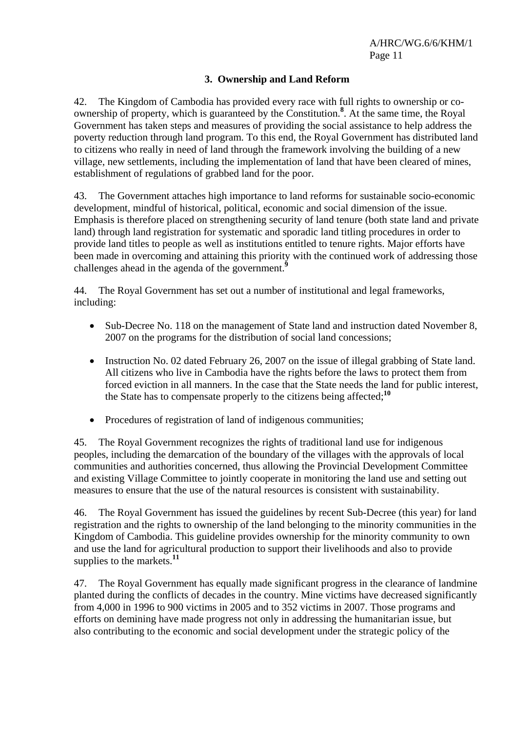# **3. Ownership and Land Reform**

42. The Kingdom of Cambodia has provided every race with full rights to ownership or coownership of property, which is guaranteed by the Constitution.**<sup>8</sup>** . At the same time, the Royal Government has taken steps and measures of providing the social assistance to help address the poverty reduction through land program. To this end, the Royal Government has distributed land to citizens who really in need of land through the framework involving the building of a new village, new settlements, including the implementation of land that have been cleared of mines, establishment of regulations of grabbed land for the poor.

43. The Government attaches high importance to land reforms for sustainable socio-economic development, mindful of historical, political, economic and social dimension of the issue. Emphasis is therefore placed on strengthening security of land tenure (both state land and private land) through land registration for systematic and sporadic land titling procedures in order to provide land titles to people as well as institutions entitled to tenure rights. Major efforts have been made in overcoming and attaining this priority with the continued work of addressing those challenges ahead in the agenda of the government.**<sup>9</sup>**

44. The Royal Government has set out a number of institutional and legal frameworks, including:

- Sub-Decree No. 118 on the management of State land and instruction dated November 8, 2007 on the programs for the distribution of social land concessions;
- Instruction No. 02 dated February 26, 2007 on the issue of illegal grabbing of State land. All citizens who live in Cambodia have the rights before the laws to protect them from forced eviction in all manners. In the case that the State needs the land for public interest, the State has to compensate properly to the citizens being affected;**<sup>10</sup>**
- Procedures of registration of land of indigenous communities;

45. The Royal Government recognizes the rights of traditional land use for indigenous peoples, including the demarcation of the boundary of the villages with the approvals of local communities and authorities concerned, thus allowing the Provincial Development Committee and existing Village Committee to jointly cooperate in monitoring the land use and setting out measures to ensure that the use of the natural resources is consistent with sustainability.

46. The Royal Government has issued the guidelines by recent Sub-Decree (this year) for land registration and the rights to ownership of the land belonging to the minority communities in the Kingdom of Cambodia. This guideline provides ownership for the minority community to own and use the land for agricultural production to support their livelihoods and also to provide supplies to the markets.**<sup>11</sup>**

47. The Royal Government has equally made significant progress in the clearance of landmine planted during the conflicts of decades in the country. Mine victims have decreased significantly from 4,000 in 1996 to 900 victims in 2005 and to 352 victims in 2007. Those programs and efforts on demining have made progress not only in addressing the humanitarian issue, but also contributing to the economic and social development under the strategic policy of the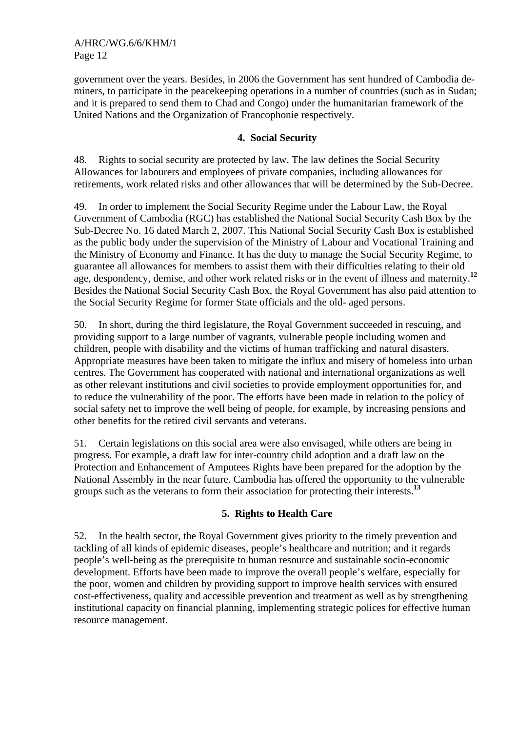government over the years. Besides, in 2006 the Government has sent hundred of Cambodia deminers, to participate in the peacekeeping operations in a number of countries (such as in Sudan; and it is prepared to send them to Chad and Congo) under the humanitarian framework of the United Nations and the Organization of Francophonie respectively.

## **4. Social Security**

48. Rights to social security are protected by law. The law defines the Social Security Allowances for labourers and employees of private companies, including allowances for retirements, work related risks and other allowances that will be determined by the Sub-Decree.

49. In order to implement the Social Security Regime under the Labour Law, the Royal Government of Cambodia (RGC) has established the National Social Security Cash Box by the Sub-Decree No. 16 dated March 2, 2007. This National Social Security Cash Box is established as the public body under the supervision of the Ministry of Labour and Vocational Training and the Ministry of Economy and Finance. It has the duty to manage the Social Security Regime, to guarantee all allowances for members to assist them with their difficulties relating to their old age, despondency, demise, and other work related risks or in the event of illness and maternity.**<sup>12</sup>** Besides the National Social Security Cash Box, the Royal Government has also paid attention to the Social Security Regime for former State officials and the old- aged persons.

50. In short, during the third legislature, the Royal Government succeeded in rescuing, and providing support to a large number of vagrants, vulnerable people including women and children, people with disability and the victims of human trafficking and natural disasters. Appropriate measures have been taken to mitigate the influx and misery of homeless into urban centres. The Government has cooperated with national and international organizations as well as other relevant institutions and civil societies to provide employment opportunities for, and to reduce the vulnerability of the poor. The efforts have been made in relation to the policy of social safety net to improve the well being of people, for example, by increasing pensions and other benefits for the retired civil servants and veterans.

51. Certain legislations on this social area were also envisaged, while others are being in progress. For example, a draft law for inter-country child adoption and a draft law on the Protection and Enhancement of Amputees Rights have been prepared for the adoption by the National Assembly in the near future. Cambodia has offered the opportunity to the vulnerable groups such as the veterans to form their association for protecting their interests.**<sup>13</sup>**

## **5. Rights to Health Care**

52. In the health sector, the Royal Government gives priority to the timely prevention and tackling of all kinds of epidemic diseases, people's healthcare and nutrition; and it regards people's well-being as the prerequisite to human resource and sustainable socio-economic development. Efforts have been made to improve the overall people's welfare, especially for the poor, women and children by providing support to improve health services with ensured cost-effectiveness, quality and accessible prevention and treatment as well as by strengthening institutional capacity on financial planning, implementing strategic polices for effective human resource management.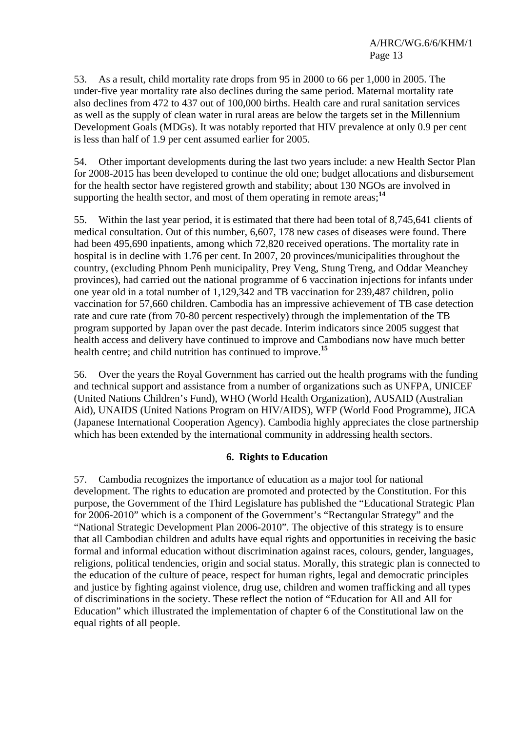53. As a result, child mortality rate drops from 95 in 2000 to 66 per 1,000 in 2005. The under-five year mortality rate also declines during the same period. Maternal mortality rate also declines from 472 to 437 out of 100,000 births. Health care and rural sanitation services as well as the supply of clean water in rural areas are below the targets set in the Millennium Development Goals (MDGs). It was notably reported that HIV prevalence at only 0.9 per cent is less than half of 1.9 per cent assumed earlier for 2005.

54. Other important developments during the last two years include: a new Health Sector Plan for 2008-2015 has been developed to continue the old one; budget allocations and disbursement for the health sector have registered growth and stability; about 130 NGOs are involved in supporting the health sector, and most of them operating in remote areas;<sup>14</sup>

55. Within the last year period, it is estimated that there had been total of 8,745,641 clients of medical consultation. Out of this number, 6,607, 178 new cases of diseases were found. There had been 495,690 inpatients, among which 72,820 received operations. The mortality rate in hospital is in decline with 1.76 per cent. In 2007, 20 provinces/municipalities throughout the country, (excluding Phnom Penh municipality, Prey Veng, Stung Treng, and Oddar Meanchey provinces), had carried out the national programme of 6 vaccination injections for infants under one year old in a total number of 1,129,342 and TB vaccination for 239,487 children, polio vaccination for 57,660 children. Cambodia has an impressive achievement of TB case detection rate and cure rate (from 70-80 percent respectively) through the implementation of the TB program supported by Japan over the past decade. Interim indicators since 2005 suggest that health access and delivery have continued to improve and Cambodians now have much better health centre; and child nutrition has continued to improve.**<sup>15</sup>**

56. Over the years the Royal Government has carried out the health programs with the funding and technical support and assistance from a number of organizations such as UNFPA, UNICEF (United Nations Children's Fund), WHO (World Health Organization), AUSAID (Australian Aid), UNAIDS (United Nations Program on HIV/AIDS), WFP (World Food Programme), JICA (Japanese International Cooperation Agency). Cambodia highly appreciates the close partnership which has been extended by the international community in addressing health sectors.

## **6. Rights to Education**

57. Cambodia recognizes the importance of education as a major tool for national development. The rights to education are promoted and protected by the Constitution. For this purpose, the Government of the Third Legislature has published the "Educational Strategic Plan for 2006-2010" which is a component of the Government's "Rectangular Strategy" and the "National Strategic Development Plan 2006-2010". The objective of this strategy is to ensure that all Cambodian children and adults have equal rights and opportunities in receiving the basic formal and informal education without discrimination against races, colours, gender, languages, religions, political tendencies, origin and social status. Morally, this strategic plan is connected to the education of the culture of peace, respect for human rights, legal and democratic principles and justice by fighting against violence, drug use, children and women trafficking and all types of discriminations in the society. These reflect the notion of "Education for All and All for Education" which illustrated the implementation of chapter 6 of the Constitutional law on the equal rights of all people.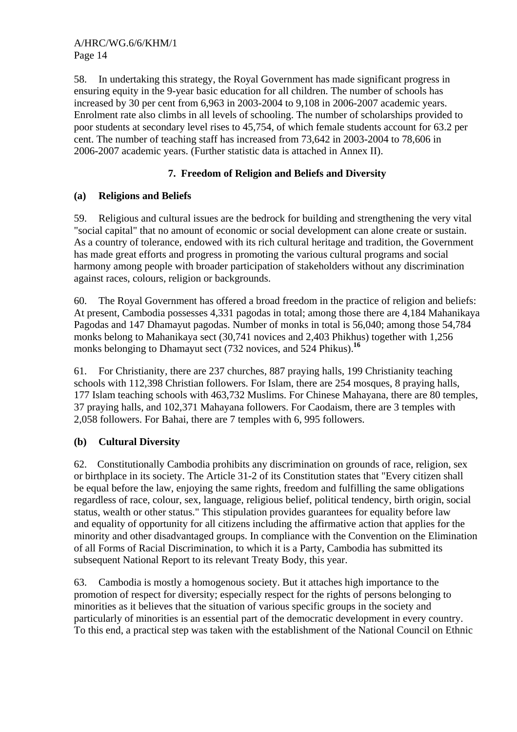58. In undertaking this strategy, the Royal Government has made significant progress in ensuring equity in the 9-year basic education for all children. The number of schools has increased by 30 per cent from 6,963 in 2003-2004 to 9,108 in 2006-2007 academic years. Enrolment rate also climbs in all levels of schooling. The number of scholarships provided to poor students at secondary level rises to 45,754, of which female students account for 63.2 per cent. The number of teaching staff has increased from 73,642 in 2003-2004 to 78,606 in 2006-2007 academic years. (Further statistic data is attached in Annex II).

# **7. Freedom of Religion and Beliefs and Diversity**

## **(a) Religions and Beliefs**

59. Religious and cultural issues are the bedrock for building and strengthening the very vital "social capital" that no amount of economic or social development can alone create or sustain. As a country of tolerance, endowed with its rich cultural heritage and tradition, the Government has made great efforts and progress in promoting the various cultural programs and social harmony among people with broader participation of stakeholders without any discrimination against races, colours, religion or backgrounds.

60. The Royal Government has offered a broad freedom in the practice of religion and beliefs: At present, Cambodia possesses 4,331 pagodas in total; among those there are 4,184 Mahanikaya Pagodas and 147 Dhamayut pagodas. Number of monks in total is 56,040; among those 54,784 monks belong to Mahanikaya sect (30,741 novices and 2,403 Phikhus) together with 1,256 monks belonging to Dhamayut sect (732 novices, and 524 Phikus).**<sup>16</sup>**

61. For Christianity, there are 237 churches, 887 praying halls, 199 Christianity teaching schools with 112,398 Christian followers. For Islam, there are 254 mosques, 8 praying halls, 177 Islam teaching schools with 463,732 Muslims. For Chinese Mahayana, there are 80 temples, 37 praying halls, and 102,371 Mahayana followers. For Caodaism, there are 3 temples with 2,058 followers. For Bahai, there are 7 temples with 6, 995 followers.

## **(b) Cultural Diversity**

62. Constitutionally Cambodia prohibits any discrimination on grounds of race, religion, sex or birthplace in its society. The Article 31-2 of its Constitution states that "Every citizen shall be equal before the law, enjoying the same rights, freedom and fulfilling the same obligations regardless of race, colour, sex, language, religious belief, political tendency, birth origin, social status, wealth or other status." This stipulation provides guarantees for equality before law and equality of opportunity for all citizens including the affirmative action that applies for the minority and other disadvantaged groups. In compliance with the Convention on the Elimination of all Forms of Racial Discrimination, to which it is a Party, Cambodia has submitted its subsequent National Report to its relevant Treaty Body, this year.

63. Cambodia is mostly a homogenous society. But it attaches high importance to the promotion of respect for diversity; especially respect for the rights of persons belonging to minorities as it believes that the situation of various specific groups in the society and particularly of minorities is an essential part of the democratic development in every country. To this end, a practical step was taken with the establishment of the National Council on Ethnic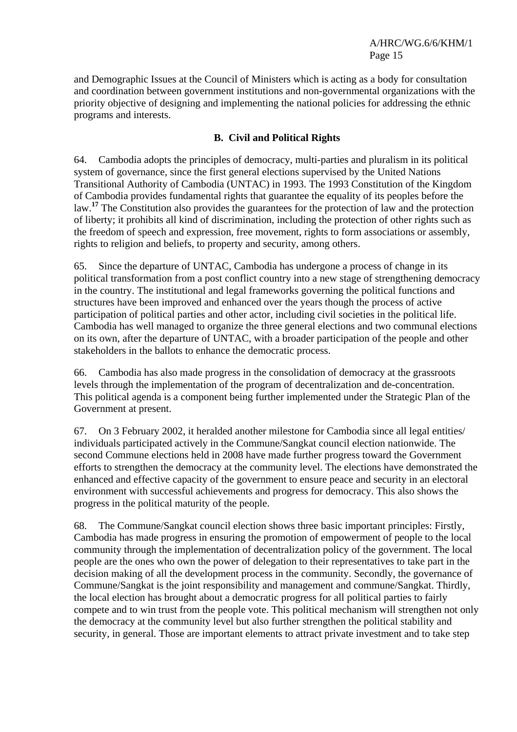and Demographic Issues at the Council of Ministers which is acting as a body for consultation and coordination between government institutions and non-governmental organizations with the priority objective of designing and implementing the national policies for addressing the ethnic programs and interests.

# **B. Civil and Political Rights**

64. Cambodia adopts the principles of democracy, multi-parties and pluralism in its political system of governance, since the first general elections supervised by the United Nations Transitional Authority of Cambodia (UNTAC) in 1993. The 1993 Constitution of the Kingdom of Cambodia provides fundamental rights that guarantee the equality of its peoples before the law.<sup>17</sup> The Constitution also provides the guarantees for the protection of law and the protection of liberty; it prohibits all kind of discrimination, including the protection of other rights such as the freedom of speech and expression, free movement, rights to form associations or assembly, rights to religion and beliefs, to property and security, among others.

65. Since the departure of UNTAC, Cambodia has undergone a process of change in its political transformation from a post conflict country into a new stage of strengthening democracy in the country. The institutional and legal frameworks governing the political functions and structures have been improved and enhanced over the years though the process of active participation of political parties and other actor, including civil societies in the political life. Cambodia has well managed to organize the three general elections and two communal elections on its own, after the departure of UNTAC, with a broader participation of the people and other stakeholders in the ballots to enhance the democratic process.

66. Cambodia has also made progress in the consolidation of democracy at the grassroots levels through the implementation of the program of decentralization and de-concentration. This political agenda is a component being further implemented under the Strategic Plan of the Government at present.

67. On 3 February 2002, it heralded another milestone for Cambodia since all legal entities/ individuals participated actively in the Commune/Sangkat council election nationwide. The second Commune elections held in 2008 have made further progress toward the Government efforts to strengthen the democracy at the community level. The elections have demonstrated the enhanced and effective capacity of the government to ensure peace and security in an electoral environment with successful achievements and progress for democracy. This also shows the progress in the political maturity of the people.

68. The Commune/Sangkat council election shows three basic important principles: Firstly, Cambodia has made progress in ensuring the promotion of empowerment of people to the local community through the implementation of decentralization policy of the government. The local people are the ones who own the power of delegation to their representatives to take part in the decision making of all the development process in the community. Secondly, the governance of Commune/Sangkat is the joint responsibility and management and commune/Sangkat. Thirdly, the local election has brought about a democratic progress for all political parties to fairly compete and to win trust from the people vote. This political mechanism will strengthen not only the democracy at the community level but also further strengthen the political stability and security, in general. Those are important elements to attract private investment and to take step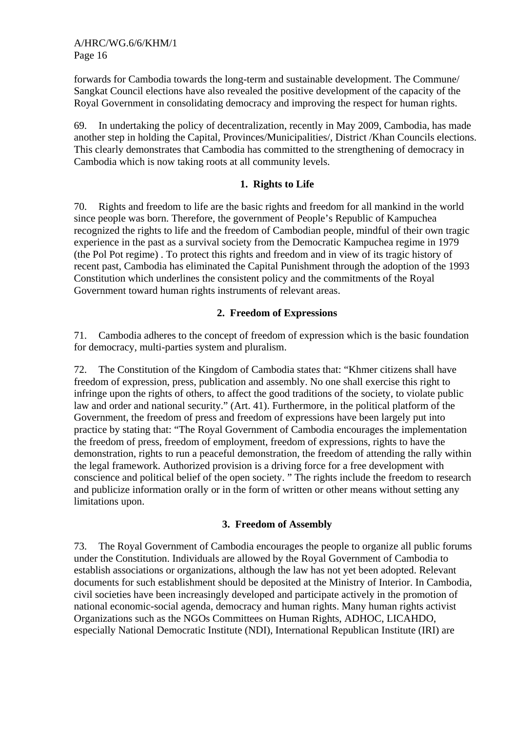forwards for Cambodia towards the long-term and sustainable development. The Commune/ Sangkat Council elections have also revealed the positive development of the capacity of the Royal Government in consolidating democracy and improving the respect for human rights.

69. In undertaking the policy of decentralization, recently in May 2009, Cambodia, has made another step in holding the Capital, Provinces/Municipalities/, District /Khan Councils elections. This clearly demonstrates that Cambodia has committed to the strengthening of democracy in Cambodia which is now taking roots at all community levels.

## **1. Rights to Life**

70. Rights and freedom to life are the basic rights and freedom for all mankind in the world since people was born. Therefore, the government of People's Republic of Kampuchea recognized the rights to life and the freedom of Cambodian people, mindful of their own tragic experience in the past as a survival society from the Democratic Kampuchea regime in 1979 (the Pol Pot regime) . To protect this rights and freedom and in view of its tragic history of recent past, Cambodia has eliminated the Capital Punishment through the adoption of the 1993 Constitution which underlines the consistent policy and the commitments of the Royal Government toward human rights instruments of relevant areas.

### **2. Freedom of Expressions**

71. Cambodia adheres to the concept of freedom of expression which is the basic foundation for democracy, multi-parties system and pluralism.

72. The Constitution of the Kingdom of Cambodia state*s* that: "Khmer citizens shall have freedom of expression, press, publication and assembly. No one shall exercise this right to infringe upon the rights of others, to affect the good traditions of the society, to violate public law and order and national security." (Art. 41). Furthermore, in the political platform of the Government, the freedom of press and freedom of expressions have been largely put into practice by stating that: "The Royal Government of Cambodia encourages the implementation the freedom of press, freedom of employment, freedom of expressions, rights to have the demonstration, rights to run a peaceful demonstration, the freedom of attending the rally within the legal framework. Authorized provision is a driving force for a free development with conscience and political belief of the open society. " The rights include the freedom to research and publicize information orally or in the form of written or other means without setting any limitations upon.

#### **3. Freedom of Assembly**

73. The Royal Government of Cambodia encourages the people to organize all public forums under the Constitution. Individuals are allowed by the Royal Government of Cambodia to establish associations or organizations, although the law has not yet been adopted. Relevant documents for such establishment should be deposited at the Ministry of Interior. In Cambodia, civil societies have been increasingly developed and participate actively in the promotion of national economic-social agenda, democracy and human rights. Many human rights activist Organizations such as the NGOs Committees on Human Rights, ADHOC, LICAHDO, especially National Democratic Institute (NDI), International Republican Institute (IRI) are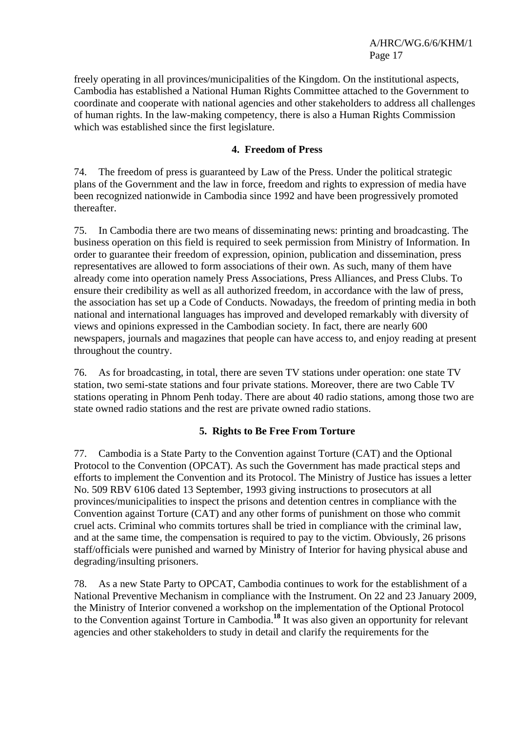freely operating in all provinces/municipalities of the Kingdom. On the institutional aspects, Cambodia has established a National Human Rights Committee attached to the Government to coordinate and cooperate with national agencies and other stakeholders to address all challenges of human rights. In the law-making competency, there is also a Human Rights Commission which was established since the first legislature.

## **4. Freedom of Press**

74. The freedom of press is guaranteed by Law of the Press. Under the political strategic plans of the Government and the law in force, freedom and rights to expression of media have been recognized nationwide in Cambodia since 1992 and have been progressively promoted thereafter.

75. In Cambodia there are two means of disseminating news: printing and broadcasting. The business operation on this field is required to seek permission from Ministry of Information. In order to guarantee their freedom of expression, opinion, publication and dissemination, press representatives are allowed to form associations of their own. As such, many of them have already come into operation namely Press Associations, Press Alliances, and Press Clubs. To ensure their credibility as well as all authorized freedom, in accordance with the law of press, the association has set up a Code of Conducts. Nowadays, the freedom of printing media in both national and international languages has improved and developed remarkably with diversity of views and opinions expressed in the Cambodian society. In fact, there are nearly 600 newspapers, journals and magazines that people can have access to, and enjoy reading at present throughout the country.

76. As for broadcasting, in total, there are seven TV stations under operation: one state TV station, two semi-state stations and four private stations. Moreover, there are two Cable TV stations operating in Phnom Penh today. There are about 40 radio stations, among those two are state owned radio stations and the rest are private owned radio stations.

#### **5. Rights to Be Free From Torture**

77. Cambodia is a State Party to the Convention against Torture (CAT) and the Optional Protocol to the Convention (OPCAT). As such the Government has made practical steps and efforts to implement the Convention and its Protocol. The Ministry of Justice has issues a letter No. 509 RBV 6106 dated 13 September, 1993 giving instructions to prosecutors at all provinces/municipalities to inspect the prisons and detention centres in compliance with the Convention against Torture (CAT) and any other forms of punishment on those who commit cruel acts. Criminal who commits tortures shall be tried in compliance with the criminal law, and at the same time, the compensation is required to pay to the victim. Obviously, 26 prisons staff/officials were punished and warned by Ministry of Interior for having physical abuse and degrading/insulting prisoners.

78. As a new State Party to OPCAT, Cambodia continues to work for the establishment of a National Preventive Mechanism in compliance with the Instrument. On 22 and 23 January 2009, the Ministry of Interior convened a workshop on the implementation of the Optional Protocol to the Convention against Torture in Cambodia.**<sup>18</sup>** It was also given an opportunity for relevant agencies and other stakeholders to study in detail and clarify the requirements for the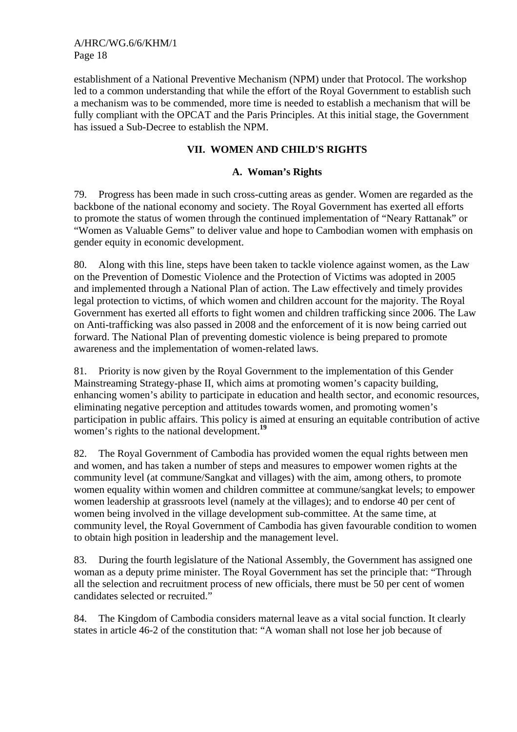establishment of a National Preventive Mechanism (NPM) under that Protocol. The workshop led to a common understanding that while the effort of the Royal Government to establish such a mechanism was to be commended, more time is needed to establish a mechanism that will be fully compliant with the OPCAT and the Paris Principles. At this initial stage, the Government has issued a Sub-Decree to establish the NPM.

# **VII. WOMEN AND CHILD'S RIGHTS**

### **A. Woman's Rights**

79. Progress has been made in such cross-cutting areas as gender. Women are regarded as the backbone of the national economy and society. The Royal Government has exerted all efforts to promote the status of women through the continued implementation of "Neary Rattanak" or "Women as Valuable Gems" to deliver value and hope to Cambodian women with emphasis on gender equity in economic development.

80. Along with this line, steps have been taken to tackle violence against women, as the Law on the Prevention of Domestic Violence and the Protection of Victims was adopted in 2005 and implemented through a National Plan of action. The Law effectively and timely provides legal protection to victims, of which women and children account for the majority. The Royal Government has exerted all efforts to fight women and children trafficking since 2006. The Law on Anti-trafficking was also passed in 2008 and the enforcement of it is now being carried out forward. The National Plan of preventing domestic violence is being prepared to promote awareness and the implementation of women-related laws.

81. Priority is now given by the Royal Government to the implementation of this Gender Mainstreaming Strategy-phase II, which aims at promoting women's capacity building, enhancing women's ability to participate in education and health sector, and economic resources, eliminating negative perception and attitudes towards women, and promoting women's participation in public affairs. This policy is aimed at ensuring an equitable contribution of active women's rights to the national development.**<sup>19</sup>**

82. The Royal Government of Cambodia has provided women the equal rights between men and women, and has taken a number of steps and measures to empower women rights at the community level (at commune/Sangkat and villages) with the aim, among others, to promote women equality within women and children committee at commune/sangkat levels; to empower women leadership at grassroots level (namely at the villages); and to endorse 40 per cent of women being involved in the village development sub-committee. At the same time, at community level, the Royal Government of Cambodia has given favourable condition to women to obtain high position in leadership and the management level.

83. During the fourth legislature of the National Assembly, the Government has assigned one woman as a deputy prime minister. The Royal Government has set the principle that: "Through all the selection and recruitment process of new officials, there must be 50 per cent of women candidates selected or recruited."

84. The Kingdom of Cambodia considers maternal leave as a vital social function. It clearly states in article 46-2 of the constitution that: "A woman shall not lose her job because of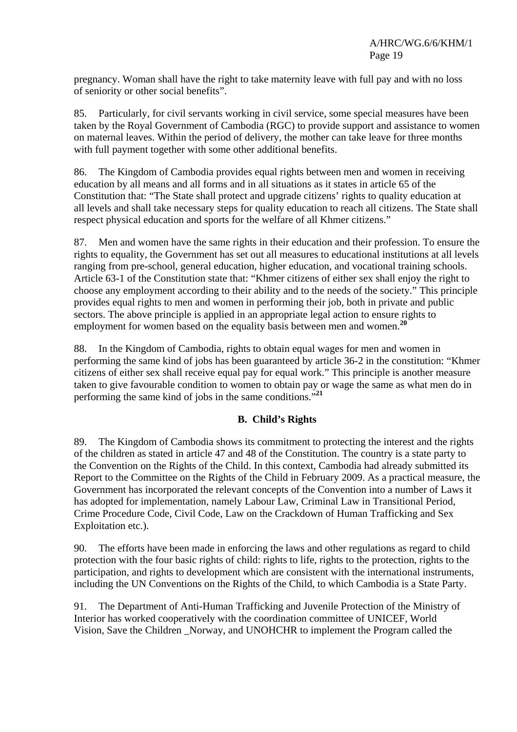pregnancy. Woman shall have the right to take maternity leave with full pay and with no loss of seniority or other social benefits".

85. Particularly, for civil servants working in civil service, some special measures have been taken by the Royal Government of Cambodia (RGC) to provide support and assistance to women on maternal leaves. Within the period of delivery, the mother can take leave for three months with full payment together with some other additional benefits.

86. The Kingdom of Cambodia provides equal rights between men and women in receiving education by all means and all forms and in all situations as it states in article 65 of the Constitution that: "The State shall protect and upgrade citizens' rights to quality education at all levels and shall take necessary steps for quality education to reach all citizens. The State shall respect physical education and sports for the welfare of all Khmer citizens."

87. Men and women have the same rights in their education and their profession. To ensure the rights to equality, the Government has set out all measures to educational institutions at all levels ranging from pre-school, general education, higher education, and vocational training schools. Article 63-1 of the Constitution state that: "Khmer citizens of either sex shall enjoy the right to choose any employment according to their ability and to the needs of the society." This principle provides equal rights to men and women in performing their job, both in private and public sectors. The above principle is applied in an appropriate legal action to ensure rights to employment for women based on the equality basis between men and women.**<sup>20</sup>**

88. In the Kingdom of Cambodia, rights to obtain equal wages for men and women in performing the same kind of jobs has been guaranteed by article 36-2 in the constitution: "Khmer citizens of either sex shall receive equal pay for equal work." This principle is another measure taken to give favourable condition to women to obtain pay or wage the same as what men do in performing the same kind of jobs in the same conditions."**<sup>21</sup>**

# **B. Child's Rights**

89. The Kingdom of Cambodia shows its commitment to protecting the interest and the rights of the children as stated in article 47 and 48 of the Constitution. The country is a state party to the Convention on the Rights of the Child. In this context, Cambodia had already submitted its Report to the Committee on the Rights of the Child in February 2009. As a practical measure, the Government has incorporated the relevant concepts of the Convention into a number of Laws it has adopted for implementation, namely Labour Law, Criminal Law in Transitional Period, Crime Procedure Code, Civil Code, Law on the Crackdown of Human Trafficking and Sex Exploitation etc.).

90. The efforts have been made in enforcing the laws and other regulations as regard to child protection with the four basic rights of child: rights to life, rights to the protection, rights to the participation, and rights to development which are consistent with the international instruments, including the UN Conventions on the Rights of the Child, to which Cambodia is a State Party.

91. The Department of Anti-Human Trafficking and Juvenile Protection of the Ministry of Interior has worked cooperatively with the coordination committee of UNICEF, World Vision, Save the Children \_Norway, and UNOHCHR to implement the Program called the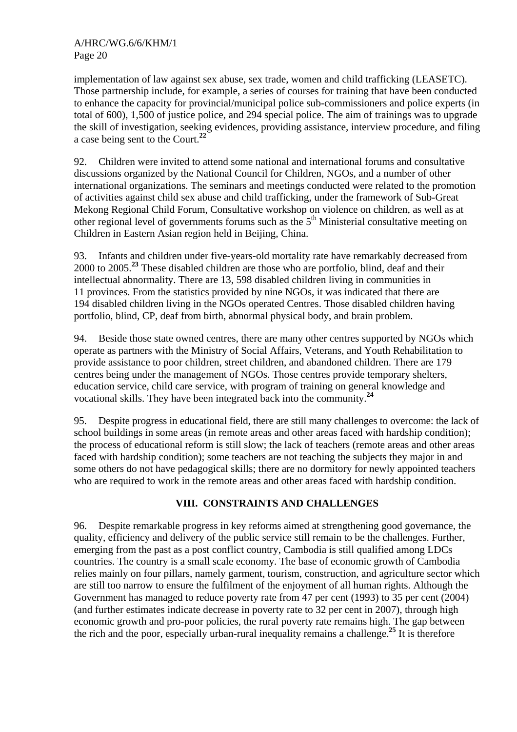implementation of law against sex abuse, sex trade, women and child trafficking (LEASETC). Those partnership include, for example, a series of courses for training that have been conducted to enhance the capacity for provincial/municipal police sub-commissioners and police experts (in total of 600), 1,500 of justice police, and 294 special police. The aim of trainings was to upgrade the skill of investigation, seeking evidences, providing assistance, interview procedure, and filing a case being sent to the Court.**<sup>22</sup>**

92. Children were invited to attend some national and international forums and consultative discussions organized by the National Council for Children, NGOs, and a number of other international organizations. The seminars and meetings conducted were related to the promotion of activities against child sex abuse and child trafficking, under the framework of Sub-Great Mekong Regional Child Forum, Consultative workshop on violence on children, as well as at other regional level of governments forums such as the  $5<sup>th</sup>$  Ministerial consultative meeting on Children in Eastern Asian region held in Beijing, China.

93. Infants and children under five-years-old mortality rate have remarkably decreased from 2000 to 2005.**<sup>23</sup>** These disabled children are those who are portfolio, blind, deaf and their intellectual abnormality. There are 13, 598 disabled children living in communities in 11 provinces. From the statistics provided by nine NGOs, it was indicated that there are 194 disabled children living in the NGOs operated Centres. Those disabled children having portfolio, blind, CP, deaf from birth, abnormal physical body, and brain problem.

94. Beside those state owned centres, there are many other centres supported by NGOs which operate as partners with the Ministry of Social Affairs, Veterans, and Youth Rehabilitation to provide assistance to poor children, street children, and abandoned children. There are 179 centres being under the management of NGOs. Those centres provide temporary shelters, education service, child care service, with program of training on general knowledge and vocational skills. They have been integrated back into the community.**<sup>24</sup>**

95. Despite progress in educational field, there are still many challenges to overcome: the lack of school buildings in some areas (in remote areas and other areas faced with hardship condition); the process of educational reform is still slow; the lack of teachers (remote areas and other areas faced with hardship condition); some teachers are not teaching the subjects they major in and some others do not have pedagogical skills; there are no dormitory for newly appointed teachers who are required to work in the remote areas and other areas faced with hardship condition.

# **VIII. CONSTRAINTS AND CHALLENGES**

96. Despite remarkable progress in key reforms aimed at strengthening good governance, the quality, efficiency and delivery of the public service still remain to be the challenges. Further, emerging from the past as a post conflict country, Cambodia is still qualified among LDCs countries. The country is a small scale economy. The base of economic growth of Cambodia relies mainly on four pillars, namely garment, tourism, construction, and agriculture sector which are still too narrow to ensure the fulfilment of the enjoyment of all human rights. Although the Government has managed to reduce poverty rate from 47 per cent (1993) to 35 per cent (2004) (and further estimates indicate decrease in poverty rate to 32 per cent in 2007), through high economic growth and pro-poor policies, the rural poverty rate remains high. The gap between the rich and the poor, especially urban-rural inequality remains a challenge.**<sup>25</sup>** It is therefore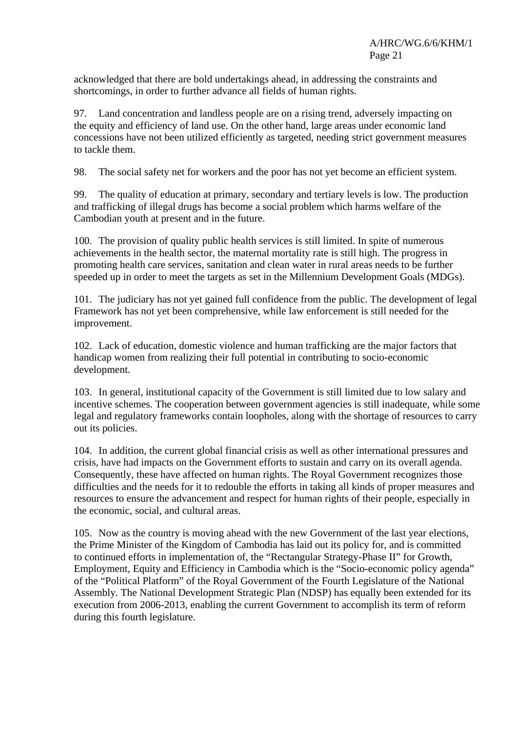acknowledged that there are bold undertakings ahead, in addressing the constraints and shortcomings, in order to further advance all fields of human rights.

97. Land concentration and landless people are on a rising trend, adversely impacting on the equity and efficiency of land use. On the other hand, large areas under economic land concessions have not been utilized efficiently as targeted, needing strict government measures to tackle them.

98. The social safety net for workers and the poor has not yet become an efficient system.

99. The quality of education at primary, secondary and tertiary levels is low. The production and trafficking of illegal drugs has become a social problem which harms welfare of the Cambodian youth at present and in the future.

100. The provision of quality public health services is still limited. In spite of numerous achievements in the health sector, the maternal mortality rate is still high. The progress in promoting health care services, sanitation and clean water in rural areas needs to be further speeded up in order to meet the targets as set in the Millennium Development Goals (MDGs).

101. The judiciary has not yet gained full confidence from the public. The development of legal Framework has not yet been comprehensive, while law enforcement is still needed for the improvement.

102. Lack of education, domestic violence and human trafficking are the major factors that handicap women from realizing their full potential in contributing to socio-economic development.

103. In general, institutional capacity of the Government is still limited due to low salary and incentive schemes. The cooperation between government agencies is still inadequate, while some legal and regulatory frameworks contain loopholes, along with the shortage of resources to carry out its policies.

104. In addition, the current global financial crisis as well as other international pressures and crisis, have had impacts on the Government efforts to sustain and carry on its overall agenda. Consequently, these have affected on human rights. The Royal Government recognizes those difficulties and the needs for it to redouble the efforts in taking all kinds of proper measures and resources to ensure the advancement and respect for human rights of their people, especially in the economic, social, and cultural areas.

105. Now as the country is moving ahead with the new Government of the last year elections, the Prime Minister of the Kingdom of Cambodia has laid out its policy for, and is committed to continued efforts in implementation of, the "Rectangular Strategy-Phase II" for Growth, Employment, Equity and Efficiency in Cambodia which is the "Socio-economic policy agenda" of the "Political Platform" of the Royal Government of the Fourth Legislature of the National Assembly. The National Development Strategic Plan (NDSP) has equally been extended for its execution from 2006-2013, enabling the current Government to accomplish its term of reform during this fourth legislature.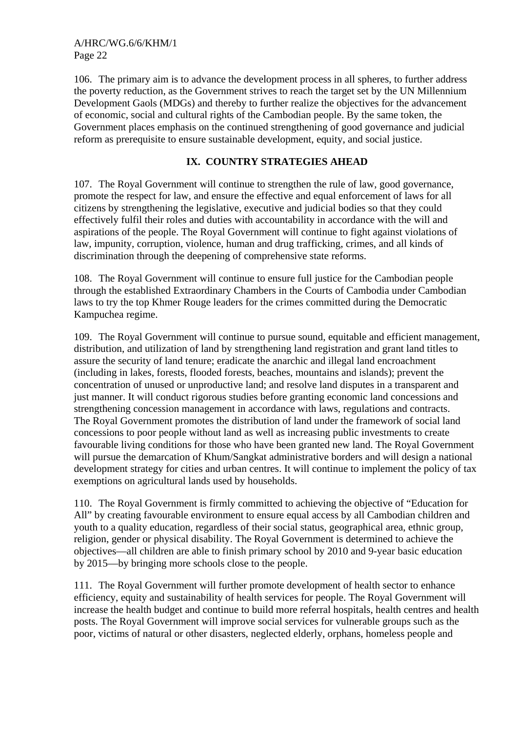106. The primary aim is to advance the development process in all spheres, to further address the poverty reduction, as the Government strives to reach the target set by the UN Millennium Development Gaols (MDGs) and thereby to further realize the objectives for the advancement of economic, social and cultural rights of the Cambodian people. By the same token, the Government places emphasis on the continued strengthening of good governance and judicial reform as prerequisite to ensure sustainable development, equity, and social justice.

# **IX. COUNTRY STRATEGIES AHEAD**

107. The Royal Government will continue to strengthen the rule of law, good governance, promote the respect for law, and ensure the effective and equal enforcement of laws for all citizens by strengthening the legislative, executive and judicial bodies so that they could effectively fulfil their roles and duties with accountability in accordance with the will and aspirations of the people. The Royal Government will continue to fight against violations of law, impunity, corruption, violence, human and drug trafficking, crimes, and all kinds of discrimination through the deepening of comprehensive state reforms.

108. The Royal Government will continue to ensure full justice for the Cambodian people through the established Extraordinary Chambers in the Courts of Cambodia under Cambodian laws to try the top Khmer Rouge leaders for the crimes committed during the Democratic Kampuchea regime.

109. The Royal Government will continue to pursue sound, equitable and efficient management, distribution, and utilization of land by strengthening land registration and grant land titles to assure the security of land tenure; eradicate the anarchic and illegal land encroachment (including in lakes, forests, flooded forests, beaches, mountains and islands); prevent the concentration of unused or unproductive land; and resolve land disputes in a transparent and just manner. It will conduct rigorous studies before granting economic land concessions and strengthening concession management in accordance with laws, regulations and contracts. The Royal Government promotes the distribution of land under the framework of social land concessions to poor people without land as well as increasing public investments to create favourable living conditions for those who have been granted new land. The Royal Government will pursue the demarcation of Khum/Sangkat administrative borders and will design a national development strategy for cities and urban centres. It will continue to implement the policy of tax exemptions on agricultural lands used by households.

110. The Royal Government is firmly committed to achieving the objective of "Education for All" by creating favourable environment to ensure equal access by all Cambodian children and youth to a quality education, regardless of their social status, geographical area, ethnic group, religion, gender or physical disability. The Royal Government is determined to achieve the objectives—all children are able to finish primary school by 2010 and 9-year basic education by 2015—by bringing more schools close to the people.

111. The Royal Government will further promote development of health sector to enhance efficiency, equity and sustainability of health services for people. The Royal Government will increase the health budget and continue to build more referral hospitals, health centres and health posts. The Royal Government will improve social services for vulnerable groups such as the poor, victims of natural or other disasters, neglected elderly, orphans, homeless people and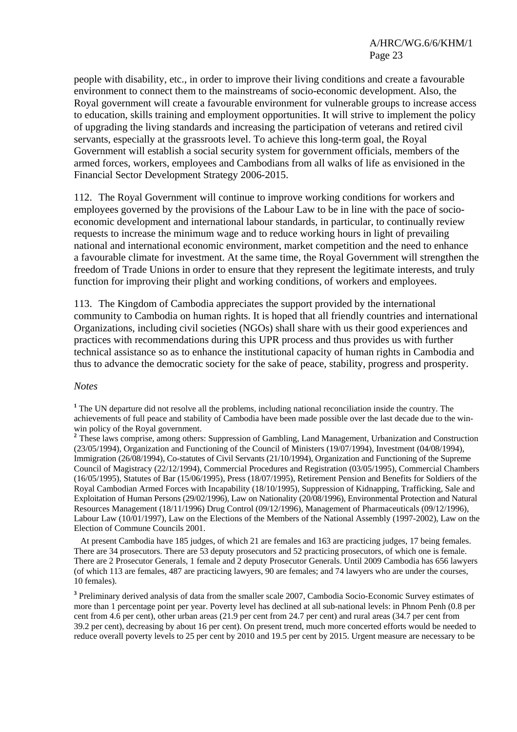people with disability, etc., in order to improve their living conditions and create a favourable environment to connect them to the mainstreams of socio-economic development. Also, the Royal government will create a favourable environment for vulnerable groups to increase access to education, skills training and employment opportunities. It will strive to implement the policy of upgrading the living standards and increasing the participation of veterans and retired civil servants, especially at the grassroots level. To achieve this long-term goal, the Royal Government will establish a social security system for government officials, members of the armed forces, workers, employees and Cambodians from all walks of life as envisioned in the Financial Sector Development Strategy 2006-2015.

112. The Royal Government will continue to improve working conditions for workers and employees governed by the provisions of the Labour Law to be in line with the pace of socioeconomic development and international labour standards, in particular, to continually review requests to increase the minimum wage and to reduce working hours in light of prevailing national and international economic environment, market competition and the need to enhance a favourable climate for investment. At the same time, the Royal Government will strengthen the freedom of Trade Unions in order to ensure that they represent the legitimate interests, and truly function for improving their plight and working conditions, of workers and employees.

113. The Kingdom of Cambodia appreciates the support provided by the international community to Cambodia on human rights. It is hoped that all friendly countries and international Organizations, including civil societies (NGOs) shall share with us their good experiences and practices with recommendations during this UPR process and thus provides us with further technical assistance so as to enhance the institutional capacity of human rights in Cambodia and thus to advance the democratic society for the sake of peace, stability, progress and prosperity.

#### *Notes*

<sup>1</sup> The UN departure did not resolve all the problems, including national reconciliation inside the country. The achievements of full peace and stability of Cambodia have been made possible over the last decade due to the winwin policy of the Royal government.

<sup>2</sup> These laws comprise, among others: Suppression of Gambling, Land Management, Urbanization and Construction (23/05/1994), Organization and Functioning of the Council of Ministers (19/07/1994), Investment (04/08/1994), Immigration (26/08/1994), Co-statutes of Civil Servants (21/10/1994), Organization and Functioning of the Supreme Council of Magistracy (22/12/1994), Commercial Procedures and Registration (03/05/1995), Commercial Chambers (16/05/1995), Statutes of Bar (15/06/1995), Press (18/07/1995), Retirement Pension and Benefits for Soldiers of the Royal Cambodian Armed Forces with Incapability (18/10/1995), Suppression of Kidnapping, Trafficking, Sale and Exploitation of Human Persons (29/02/1996), Law on Nationality (20/08/1996), Environmental Protection and Natural Resources Management (18/11/1996) Drug Control (09/12/1996), Management of Pharmaceuticals (09/12/1996), Labour Law (10/01/1997), Law on the Elections of the Members of the National Assembly (1997-2002), Law on the Election of Commune Councils 2001.

At present Cambodia have 185 judges, of which 21 are females and 163 are practicing judges, 17 being females. There are 34 prosecutors. There are 53 deputy prosecutors and 52 practicing prosecutors, of which one is female. There are 2 Prosecutor Generals, 1 female and 2 deputy Prosecutor Generals. Until 2009 Cambodia has 656 lawyers (of which 113 are females, 487 are practicing lawyers, 90 are females; and 74 lawyers who are under the courses, 10 females).

<sup>3</sup> Preliminary derived analysis of data from the smaller scale 2007, Cambodia Socio-Economic Survey estimates of more than 1 percentage point per year. Poverty level has declined at all sub-national levels: in Phnom Penh (0.8 per cent from 4.6 per cent), other urban areas (21.9 per cent from 24.7 per cent) and rural areas (34.7 per cent from 39.2 per cent), decreasing by about 16 per cent). On present trend, much more concerted efforts would be needed to reduce overall poverty levels to 25 per cent by 2010 and 19.5 per cent by 2015. Urgent measure are necessary to be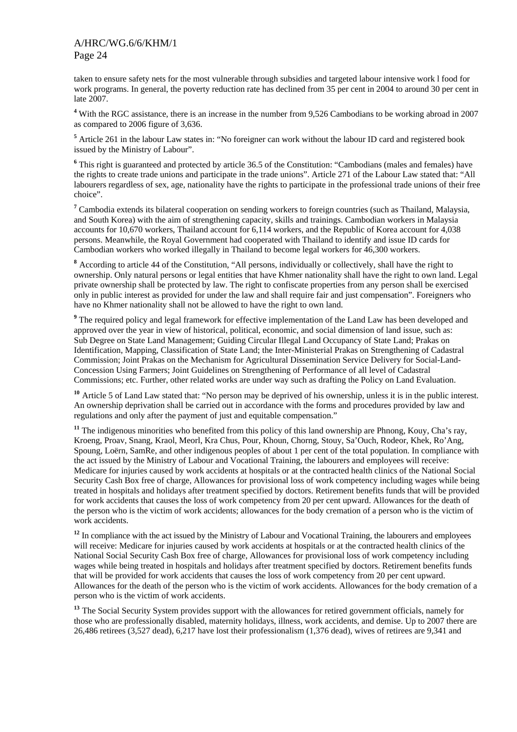taken to ensure safety nets for the most vulnerable through subsidies and targeted labour intensive work l food for work programs. In general, the poverty reduction rate has declined from 35 per cent in 2004 to around 30 per cent in late 2007.

<sup>4</sup> With the RGC assistance, there is an increase in the number from 9,526 Cambodians to be working abroad in 2007 as compared to 2006 figure of 3,636.

<sup>5</sup> Article 261 in the labour Law states in: "No foreigner can work without the labour ID card and registered book issued by the Ministry of Labour".

<sup>6</sup> This right is guaranteed and protected by article 36.5 of the Constitution: "Cambodians (males and females) have the rights to create trade unions and participate in the trade unions". Article 271 of the Labour Law stated that: "All labourers regardless of sex, age, nationality have the rights to participate in the professional trade unions of their free choice".

<sup>7</sup> Cambodia extends its bilateral cooperation on sending workers to foreign countries (such as Thailand, Malaysia, and South Korea) with the aim of strengthening capacity, skills and trainings. Cambodian workers in Malaysia accounts for 10,670 workers, Thailand account for 6,114 workers, and the Republic of Korea account for 4,038 persons. Meanwhile, the Royal Government had cooperated with Thailand to identify and issue ID cards for Cambodian workers who worked illegally in Thailand to become legal workers for 46,300 workers.

**<sup>8</sup>** According to article 44 of the Constitution, "All persons, individually or collectively, shall have the right to ownership. Only natural persons or legal entities that have Khmer nationality shall have the right to own land. Legal private ownership shall be protected by law. The right to confiscate properties from any person shall be exercised only in public interest as provided for under the law and shall require fair and just compensation". Foreigners who have no Khmer nationality shall not be allowed to have the right to own land.

<sup>9</sup> The required policy and legal framework for effective implementation of the Land Law has been developed and approved over the year in view of historical, political, economic, and social dimension of land issue, such as: Sub Degree on State Land Management; Guiding Circular Illegal Land Occupancy of State Land; Prakas on Identification, Mapping, Classification of State Land; the Inter-Ministerial Prakas on Strengthening of Cadastral Commission; Joint Prakas on the Mechanism for Agricultural Dissemination Service Delivery for Social-Land-Concession Using Farmers; Joint Guidelines on Strengthening of Performance of all level of Cadastral Commissions; etc. Further, other related works are under way such as drafting the Policy on Land Evaluation.

**<sup>10</sup>** Article 5 of Land Law stated that: "No person may be deprived of his ownership, unless it is in the public interest. An ownership deprivation shall be carried out in accordance with the forms and procedures provided by law and regulations and only after the payment of just and equitable compensation."

**<sup>11</sup>** The indigenous minorities who benefited from this policy of this land ownership are Phnong, Kouy, Cha's ray, Kroeng, Proav, Snang, Kraol, Meorl, Kra Chus, Pour, Khoun, Chorng, Stouy, Sa'Ouch, Rodeor, Khek, Ro'Ang, Spoung, Loërn, SamRe, and other indigenous peoples of about 1 per cent of the total population. In compliance with the act issued by the Ministry of Labour and Vocational Training, the labourers and employees will receive: Medicare for injuries caused by work accidents at hospitals or at the contracted health clinics of the National Social Security Cash Box free of charge, Allowances for provisional loss of work competency including wages while being treated in hospitals and holidays after treatment specified by doctors. Retirement benefits funds that will be provided for work accidents that causes the loss of work competency from 20 per cent upward. Allowances for the death of the person who is the victim of work accidents; allowances for the body cremation of a person who is the victim of work accidents.

<sup>12</sup> In compliance with the act issued by the Ministry of Labour and Vocational Training, the labourers and employees will receive: Medicare for injuries caused by work accidents at hospitals or at the contracted health clinics of the National Social Security Cash Box free of charge, Allowances for provisional loss of work competency including wages while being treated in hospitals and holidays after treatment specified by doctors. Retirement benefits funds that will be provided for work accidents that causes the loss of work competency from 20 per cent upward. Allowances for the death of the person who is the victim of work accidents. Allowances for the body cremation of a person who is the victim of work accidents.

<sup>13</sup> The Social Security System provides support with the allowances for retired government officials, namely for those who are professionally disabled, maternity holidays, illness, work accidents, and demise. Up to 2007 there are 26,486 retirees (3,527 dead), 6,217 have lost their professionalism (1,376 dead), wives of retirees are 9,341 and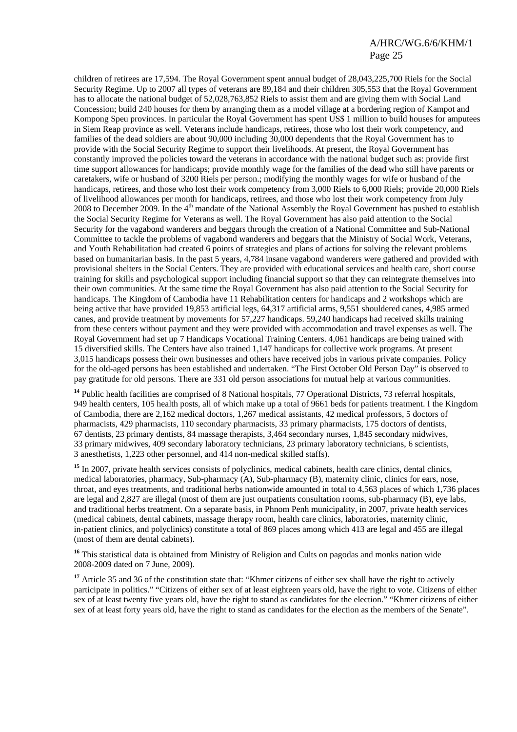children of retirees are 17,594. The Royal Government spent annual budget of 28,043,225,700 Riels for the Social Security Regime. Up to 2007 all types of veterans are 89,184 and their children 305,553 that the Royal Government has to allocate the national budget of 52,028,763,852 Riels to assist them and are giving them with Social Land Concession; build 240 houses for them by arranging them as a model village at a bordering region of Kampot and Kompong Speu provinces. In particular the Royal Government has spent US\$ 1 million to build houses for amputees in Siem Reap province as well. Veterans include handicaps, retirees, those who lost their work competency, and families of the dead soldiers are about 90,000 including 30,000 dependents that the Royal Government has to provide with the Social Security Regime to support their livelihoods. At present, the Royal Government has constantly improved the policies toward the veterans in accordance with the national budget such as: provide first time support allowances for handicaps; provide monthly wage for the families of the dead who still have parents or caretakers, wife or husband of 3200 Riels per person.; modifying the monthly wages for wife or husband of the handicaps, retirees, and those who lost their work competency from 3,000 Riels to 6,000 Riels; provide 20,000 Riels of livelihood allowances per month for handicaps, retirees, and those who lost their work competency from July 2008 to December 2009. In the 4<sup>th</sup> mandate of the National Assembly the Royal Government has pushed to establish the Social Security Regime for Veterans as well. The Royal Government has also paid attention to the Social Security for the vagabond wanderers and beggars through the creation of a National Committee and Sub-National Committee to tackle the problems of vagabond wanderers and beggars that the Ministry of Social Work, Veterans, and Youth Rehabilitation had created 6 points of strategies and plans of actions for solving the relevant problems based on humanitarian basis. In the past 5 years, 4,784 insane vagabond wanderers were gathered and provided with provisional shelters in the Social Centers. They are provided with educational services and health care, short course training for skills and psychological support including financial support so that they can reintegrate themselves into their own communities. At the same time the Royal Government has also paid attention to the Social Security for handicaps. The Kingdom of Cambodia have 11 Rehabilitation centers for handicaps and 2 workshops which are being active that have provided 19,853 artificial legs, 64,317 artificial arms, 9,551 shouldered canes, 4,985 armed canes, and provide treatment by movements for 57,227 handicaps. 59,240 handicaps had received skills training from these centers without payment and they were provided with accommodation and travel expenses as well. The Royal Government had set up 7 Handicaps Vocational Training Centers. 4,061 handicaps are being trained with 15 diversified skills. The Centers have also trained 1,147 handicaps for collective work programs. At present 3,015 handicaps possess their own businesses and others have received jobs in various private companies. Policy for the old-aged persons has been established and undertaken. "The First October Old Person Day" is observed to pay gratitude for old persons. There are 331 old person associations for mutual help at various communities.

**<sup>14</sup>** Public health facilities are comprised of 8 National hospitals, 77 Operational Districts, 73 referral hospitals, 949 health centers, 105 health posts, all of which make up a total of 9661 beds for patients treatment. I the Kingdom of Cambodia, there are 2,162 medical doctors, 1,267 medical assistants, 42 medical professors, 5 doctors of pharmacists, 429 pharmacists, 110 secondary pharmacists, 33 primary pharmacists, 175 doctors of dentists, 67 dentists, 23 primary dentists, 84 massage therapists, 3,464 secondary nurses, 1,845 secondary midwives, 33 primary midwives, 409 secondary laboratory technicians, 23 primary laboratory technicians, 6 scientists, 3 anesthetists, 1,223 other personnel, and 414 non-medical skilled staffs).

<sup>15</sup> In 2007, private health services consists of polyclinics, medical cabinets, health care clinics, dental clinics, medical laboratories, pharmacy, Sub-pharmacy (A), Sub-pharmacy (B), maternity clinic, clinics for ears, nose, throat, and eyes treatments, and traditional herbs nationwide amounted in total to 4,563 places of which 1,736 places are legal and 2,827 are illegal (most of them are just outpatients consultation rooms, sub-pharmacy (B), eye labs, and traditional herbs treatment. On a separate basis, in Phnom Penh municipality, in 2007, private health services (medical cabinets, dental cabinets, massage therapy room, health care clinics, laboratories, maternity clinic, in-patient clinics, and polyclinics) constitute a total of 869 places among which 413 are legal and 455 are illegal (most of them are dental cabinets).

<sup>16</sup> This statistical data is obtained from Ministry of Religion and Cults on pagodas and monks nation wide 2008-2009 dated on 7 June, 2009).

<sup>17</sup> Article 35 and 36 of the constitution state that: "Khmer citizens of either sex shall have the right to actively participate in politics." "Citizens of either sex of at least eighteen years old, have the right to vote. Citizens of either sex of at least twenty five years old, have the right to stand as candidates for the election." "Khmer citizens of either sex of at least forty years old, have the right to stand as candidates for the election as the members of the Senate".